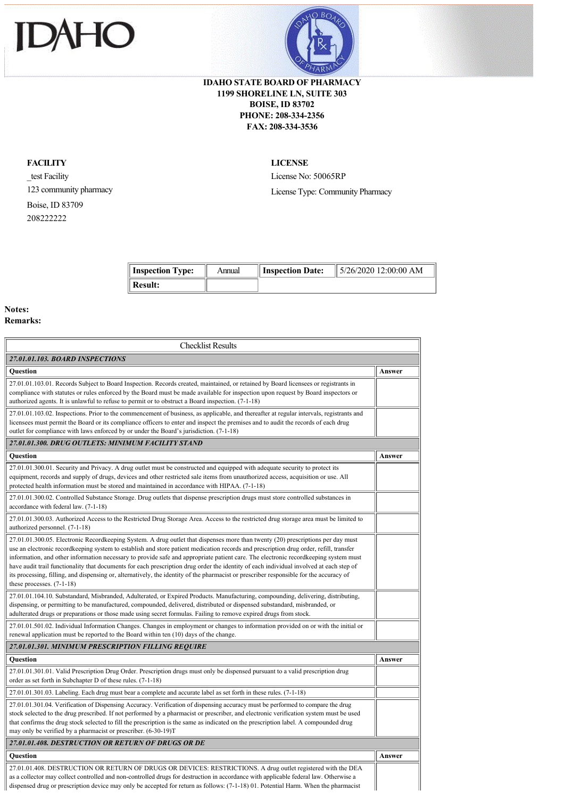



## **IDAHO STATE BOARD OF PHARMACY 1199 SHORELINE LN, SUITE 303 BOISE, ID 83702 PHONE: 208-334-2356 FAX: 208-334-3536**

## **FACILITY**

\_test Facility 123 community pharmacy Boise, ID 83709 208222222

**LICENSE**

License No: 50065RP License Type: Community Pharmacy

| Inspection Type: | Annual | Inspection Date: | $\parallel$ 5/26/2020 12:00:00 AM |
|------------------|--------|------------------|-----------------------------------|
| <b>Result:</b>   |        |                  |                                   |

## **Notes: Remarks:**

| <b>Checklist Results</b>                                                                                                                                                                                                                                                                                                                                                                                                                                                                                                                                                                                                                                                                                                              |        |
|---------------------------------------------------------------------------------------------------------------------------------------------------------------------------------------------------------------------------------------------------------------------------------------------------------------------------------------------------------------------------------------------------------------------------------------------------------------------------------------------------------------------------------------------------------------------------------------------------------------------------------------------------------------------------------------------------------------------------------------|--------|
| 27.01.01.103. BOARD INSPECTIONS                                                                                                                                                                                                                                                                                                                                                                                                                                                                                                                                                                                                                                                                                                       |        |
| <b>Ouestion</b>                                                                                                                                                                                                                                                                                                                                                                                                                                                                                                                                                                                                                                                                                                                       | Answer |
| 27.01.01.103.01. Records Subject to Board Inspection. Records created, maintained, or retained by Board licensees or registrants in<br>compliance with statutes or rules enforced by the Board must be made available for inspection upon request by Board inspectors or<br>authorized agents. It is unlawful to refuse to permit or to obstruct a Board inspection. (7-1-18)                                                                                                                                                                                                                                                                                                                                                         |        |
| 27.01.01.103.02. Inspections. Prior to the commencement of business, as applicable, and thereafter at regular intervals, registrants and<br>licensees must permit the Board or its compliance officers to enter and inspect the premises and to audit the records of each drug<br>outlet for compliance with laws enforced by or under the Board's jurisdiction. (7-1-18)                                                                                                                                                                                                                                                                                                                                                             |        |
| 27.01.01.300, DRUG OUTLETS: MINIMUM FACILITY STAND                                                                                                                                                                                                                                                                                                                                                                                                                                                                                                                                                                                                                                                                                    |        |
| Question                                                                                                                                                                                                                                                                                                                                                                                                                                                                                                                                                                                                                                                                                                                              | Answer |
| 27.01.01.300.01. Security and Privacy. A drug outlet must be constructed and equipped with adequate security to protect its<br>equipment, records and supply of drugs, devices and other restricted sale items from unauthorized access, acquisition or use. All<br>protected health information must be stored and maintained in accordance with HIPAA. (7-1-18)                                                                                                                                                                                                                                                                                                                                                                     |        |
| 27.01.01.300.02. Controlled Substance Storage. Drug outlets that dispense prescription drugs must store controlled substances in<br>accordance with federal law. (7-1-18)                                                                                                                                                                                                                                                                                                                                                                                                                                                                                                                                                             |        |
| 27.01.01.300.03. Authorized Access to the Restricted Drug Storage Area. Access to the restricted drug storage area must be limited to<br>authorized personnel. (7-1-18)                                                                                                                                                                                                                                                                                                                                                                                                                                                                                                                                                               |        |
| 27.01.01.300.05. Electronic Recordkeeping System. A drug outlet that dispenses more than twenty (20) prescriptions per day must<br>use an electronic recordkeeping system to establish and store patient medication records and prescription drug order, refill, transfer<br>information, and other information necessary to provide safe and appropriate patient care. The electronic recordkeeping system must<br>have audit trail functionality that documents for each prescription drug order the identity of each individual involved at each step of<br>its processing, filling, and dispensing or, alternatively, the identity of the pharmacist or prescriber responsible for the accuracy of<br>these processes. $(7-1-18)$ |        |
| 27.01.01.104.10. Substandard, Misbranded, Adulterated, or Expired Products. Manufacturing, compounding, delivering, distributing,<br>dispensing, or permitting to be manufactured, compounded, delivered, distributed or dispensed substandard, misbranded, or<br>adulterated drugs or preparations or those made using secret formulas. Failing to remove expired drugs from stock.                                                                                                                                                                                                                                                                                                                                                  |        |
| 27.01.01.501.02. Individual Information Changes. Changes in employment or changes to information provided on or with the initial or<br>renewal application must be reported to the Board within ten (10) days of the change.                                                                                                                                                                                                                                                                                                                                                                                                                                                                                                          |        |
| 27.01.01.301. MINIMUM PRESCRIPTION FILLING REQUIRE                                                                                                                                                                                                                                                                                                                                                                                                                                                                                                                                                                                                                                                                                    |        |
| Question                                                                                                                                                                                                                                                                                                                                                                                                                                                                                                                                                                                                                                                                                                                              | Answer |
| 27.01.01.301.01. Valid Prescription Drug Order. Prescription drugs must only be dispensed pursuant to a valid prescription drug<br>order as set forth in Subchapter D of these rules. (7-1-18)                                                                                                                                                                                                                                                                                                                                                                                                                                                                                                                                        |        |
| 27.01.01.301.03. Labeling. Each drug must bear a complete and accurate label as set forth in these rules. (7-1-18)                                                                                                                                                                                                                                                                                                                                                                                                                                                                                                                                                                                                                    |        |
| 27.01.01.301.04. Verification of Dispensing Accuracy. Verification of dispensing accuracy must be performed to compare the drug<br>stock selected to the drug prescribed. If not performed by a pharmacist or prescriber, and electronic verification system must be used<br>that confirms the drug stock selected to fill the prescription is the same as indicated on the prescription label. A compounded drug<br>may only be verified by a pharmacist or prescriber. (6-30-19)T                                                                                                                                                                                                                                                   |        |
| 27.01.01.408. DESTRUCTION OR RETURN OF DRUGS OR DE                                                                                                                                                                                                                                                                                                                                                                                                                                                                                                                                                                                                                                                                                    |        |
| Question                                                                                                                                                                                                                                                                                                                                                                                                                                                                                                                                                                                                                                                                                                                              | Answer |
| 27.01.01.408. DESTRUCTION OR RETURN OF DRUGS OR DEVICES: RESTRICTIONS. A drug outlet registered with the DEA<br>as a collector may collect controlled and non-controlled drugs for destruction in accordance with applicable federal law. Otherwise a<br>dispensed drug or prescription device may only be accepted for return as follows: (7-1-18) 01. Potential Harm. When the pharmacist                                                                                                                                                                                                                                                                                                                                           |        |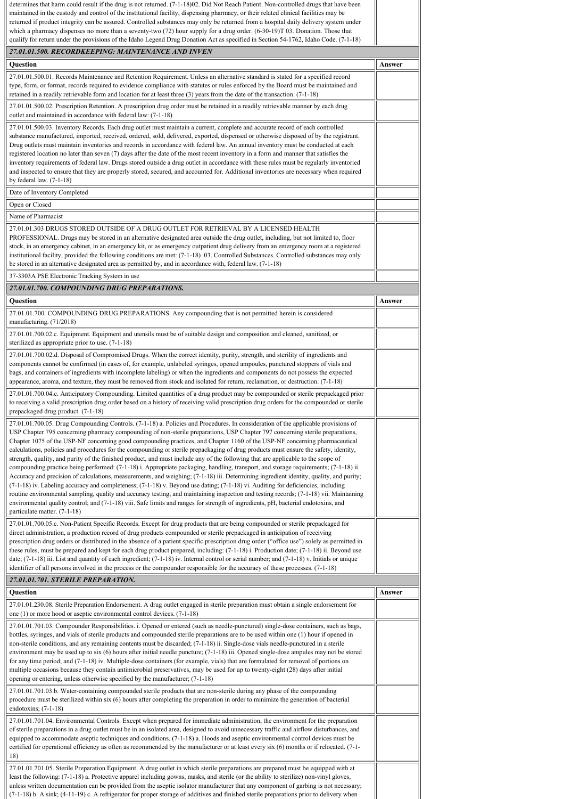| determines that harm could result if the drug is not returned. (7-1-18)02. Did Not Reach Patient. Non-controlled drugs that have been<br>maintained in the custody and control of the institutional facility, dispensing pharmacy, or their related clinical facilities may be<br>returned if product integrity can be assured. Controlled substances may only be returned from a hospital daily delivery system under<br>which a pharmacy dispenses no more than a seventy-two $(72)$ hour supply for a drug order. $(6-30-19)T 03$ . Donation. Those that<br>qualify for return under the provisions of the Idaho Legend Drug Donation Act as specified in Section 54-1762, Idaho Code. (7-1-18)                                                                                                                                                                                                                                                                                                                                                                                                                                                                                                                                                                                                                                                                                                                     |        |
|------------------------------------------------------------------------------------------------------------------------------------------------------------------------------------------------------------------------------------------------------------------------------------------------------------------------------------------------------------------------------------------------------------------------------------------------------------------------------------------------------------------------------------------------------------------------------------------------------------------------------------------------------------------------------------------------------------------------------------------------------------------------------------------------------------------------------------------------------------------------------------------------------------------------------------------------------------------------------------------------------------------------------------------------------------------------------------------------------------------------------------------------------------------------------------------------------------------------------------------------------------------------------------------------------------------------------------------------------------------------------------------------------------------------|--------|
| 27.01.01.500. RECORDKEEPING: MAINTENANCE AND INVEN                                                                                                                                                                                                                                                                                                                                                                                                                                                                                                                                                                                                                                                                                                                                                                                                                                                                                                                                                                                                                                                                                                                                                                                                                                                                                                                                                                     |        |
| Question                                                                                                                                                                                                                                                                                                                                                                                                                                                                                                                                                                                                                                                                                                                                                                                                                                                                                                                                                                                                                                                                                                                                                                                                                                                                                                                                                                                                               | Answer |
| 27.01.01.500.01. Records Maintenance and Retention Requirement. Unless an alternative standard is stated for a specified record<br>type, form, or format, records required to evidence compliance with statutes or rules enforced by the Board must be maintained and                                                                                                                                                                                                                                                                                                                                                                                                                                                                                                                                                                                                                                                                                                                                                                                                                                                                                                                                                                                                                                                                                                                                                  |        |
| retained in a readily retrievable form and location for at least three $(3)$ years from the date of the transaction. $(7-1-18)$                                                                                                                                                                                                                                                                                                                                                                                                                                                                                                                                                                                                                                                                                                                                                                                                                                                                                                                                                                                                                                                                                                                                                                                                                                                                                        |        |
| 27.01.01.500.02. Prescription Retention. A prescription drug order must be retained in a readily retrievable manner by each drug<br>outlet and maintained in accordance with federal law: (7-1-18)                                                                                                                                                                                                                                                                                                                                                                                                                                                                                                                                                                                                                                                                                                                                                                                                                                                                                                                                                                                                                                                                                                                                                                                                                     |        |
| 27.01.01.500.03. Inventory Records. Each drug outlet must maintain a current, complete and accurate record of each controlled<br>substance manufactured, imported, received, ordered, sold, delivered, exported, dispensed or otherwise disposed of by the registrant.<br>Drug outlets must maintain inventories and records in accordance with federal law. An annual inventory must be conducted at each<br>registered location no later than seven (7) days after the date of the most recent inventory in a form and manner that satisfies the<br>inventory requirements of federal law. Drugs stored outside a drug outlet in accordance with these rules must be regularly inventoried<br>and inspected to ensure that they are properly stored, secured, and accounted for. Additional inventories are necessary when required<br>by federal law. $(7-1-18)$                                                                                                                                                                                                                                                                                                                                                                                                                                                                                                                                                    |        |
| Date of Inventory Completed                                                                                                                                                                                                                                                                                                                                                                                                                                                                                                                                                                                                                                                                                                                                                                                                                                                                                                                                                                                                                                                                                                                                                                                                                                                                                                                                                                                            |        |
| Open or Closed                                                                                                                                                                                                                                                                                                                                                                                                                                                                                                                                                                                                                                                                                                                                                                                                                                                                                                                                                                                                                                                                                                                                                                                                                                                                                                                                                                                                         |        |
| Name of Pharmacist<br>27.01.01.303 DRUGS STORED OUTSIDE OF A DRUG OUTLET FOR RETRIEVAL BY A LICENSED HEALTH<br>PROFESSIONAL. Drugs may be stored in an alternative designated area outside the drug outlet, including, but not limited to, floor<br>stock, in an emergency cabinet, in an emergency kit, or as emergency outpatient drug delivery from an emergency room at a registered<br>institutional facility, provided the following conditions are met: (7-1-18) 03. Controlled Substances. Controlled substances may only<br>be stored in an alternative designated area as permitted by, and in accordance with, federal law. (7-1-18)                                                                                                                                                                                                                                                                                                                                                                                                                                                                                                                                                                                                                                                                                                                                                                        |        |
| 37-3303A PSE Electronic Tracking System in use<br>27.01.01.700. COMPOUNDING DRUG PREPARATIONS.                                                                                                                                                                                                                                                                                                                                                                                                                                                                                                                                                                                                                                                                                                                                                                                                                                                                                                                                                                                                                                                                                                                                                                                                                                                                                                                         |        |
| Question                                                                                                                                                                                                                                                                                                                                                                                                                                                                                                                                                                                                                                                                                                                                                                                                                                                                                                                                                                                                                                                                                                                                                                                                                                                                                                                                                                                                               | Answer |
| 27.01.01.700. COMPOUNDING DRUG PREPARATIONS. Any compounding that is not permitted herein is considered<br>manufacturing. (71/2018)                                                                                                                                                                                                                                                                                                                                                                                                                                                                                                                                                                                                                                                                                                                                                                                                                                                                                                                                                                                                                                                                                                                                                                                                                                                                                    |        |
| 27.01.01.700.02.c. Equipment. Equipment and utensils must be of suitable design and composition and cleaned, sanitized, or<br>sterilized as appropriate prior to use. (7-1-18)                                                                                                                                                                                                                                                                                                                                                                                                                                                                                                                                                                                                                                                                                                                                                                                                                                                                                                                                                                                                                                                                                                                                                                                                                                         |        |
| 27.01.01.700.02.d. Disposal of Compromised Drugs. When the correct identity, purity, strength, and sterility of ingredients and<br>components cannot be confirmed (in cases of, for example, unlabeled syringes, opened ampoules, punctured stoppers of vials and<br>bags, and containers of ingredients with incomplete labeling) or when the ingredients and components do not possess the expected<br>appearance, aroma, and texture, they must be removed from stock and isolated for return, reclamation, or destruction. (7-1-18)                                                                                                                                                                                                                                                                                                                                                                                                                                                                                                                                                                                                                                                                                                                                                                                                                                                                                |        |
| 27.01.01.700.04.c. Anticipatory Compounding. Limited quantities of a drug product may be compounded or sterile prepackaged prior<br>to receiving a valid prescription drug order based on a history of receiving valid prescription drug orders for the compounded or sterile<br>prepackaged drug product. (7-1-18)                                                                                                                                                                                                                                                                                                                                                                                                                                                                                                                                                                                                                                                                                                                                                                                                                                                                                                                                                                                                                                                                                                    |        |
| 27.01.01.700.05. Drug Compounding Controls. (7-1-18) a. Policies and Procedures. In consideration of the applicable provisions of<br>USP Chapter 795 concerning pharmacy compounding of non-sterile preparations, USP Chapter 797 concerning sterile preparations,<br>Chapter 1075 of the USP-NF concerning good compounding practices, and Chapter 1160 of the USP-NF concerning pharmaceutical<br>calculations, policies and procedures for the compounding or sterile prepackaging of drug products must ensure the safety, identity,<br>strength, quality, and purity of the finished product, and must include any of the following that are applicable to the scope of<br>compounding practice being performed: (7-1-18) i. Appropriate packaging, handling, transport, and storage requirements; (7-1-18) ii.<br>Accuracy and precision of calculations, measurements, and weighing; (7-1-18) iii. Determining ingredient identity, quality, and purity;<br>(7-1-18) iv. Labeling accuracy and completeness; (7-1-18) v. Beyond use dating; (7-1-18) vi. Auditing for deficiencies, including<br>routine environmental sampling, quality and accuracy testing, and maintaining inspection and testing records; (7-1-18) vii. Maintaining<br>environmental quality control; and (7-1-18) viii. Safe limits and ranges for strength of ingredients, pH, bacterial endotoxins, and<br>particulate matter. (7-1-18) |        |
| 27.01.01.700.05.c. Non-Patient Specific Records. Except for drug products that are being compounded or sterile prepackaged for<br>direct administration, a production record of drug products compounded or sterile prepackaged in anticipation of receiving<br>prescription drug orders or distributed in the absence of a patient specific prescription drug order ("office use") solely as permitted in<br>these rules, must be prepared and kept for each drug product prepared, including: (7-1-18) i. Production date; (7-1-18) ii. Beyond use<br>date; $(7-1-18)$ iii. List and quantity of each ingredient; $(7-1-18)$ iv. Internal control or serial number; and $(7-1-18)$ v. Initials or unique<br>identifier of all persons involved in the process or the compounder responsible for the accuracy of these processes. (7-1-18)                                                                                                                                                                                                                                                                                                                                                                                                                                                                                                                                                                            |        |
| 27.01.01.701. STERILE PREPARATION.                                                                                                                                                                                                                                                                                                                                                                                                                                                                                                                                                                                                                                                                                                                                                                                                                                                                                                                                                                                                                                                                                                                                                                                                                                                                                                                                                                                     |        |
| Question<br>27.01.01.230.08. Sterile Preparation Endorsement. A drug outlet engaged in sterile preparation must obtain a single endorsement for                                                                                                                                                                                                                                                                                                                                                                                                                                                                                                                                                                                                                                                                                                                                                                                                                                                                                                                                                                                                                                                                                                                                                                                                                                                                        | Answer |
| one $(1)$ or more hood or aseptic environmental control devices. $(7-1-18)$                                                                                                                                                                                                                                                                                                                                                                                                                                                                                                                                                                                                                                                                                                                                                                                                                                                                                                                                                                                                                                                                                                                                                                                                                                                                                                                                            |        |
| 27.01.01.701.03. Compounder Responsibilities. i. Opened or entered (such as needle-punctured) single-dose containers, such as bags,<br>bottles, syringes, and vials of sterile products and compounded sterile preparations are to be used within one (1) hour if opened in<br>non-sterile conditions, and any remaining contents must be discarded; (7-1-18) ii. Single-dose vials needle-punctured in a sterile<br>environment may be used up to six $(6)$ hours after initial needle puncture; $(7-1-18)$ iii. Opened single-dose ampules may not be stored<br>for any time period; and (7-1-18) iv. Multiple-dose containers (for example, vials) that are formulated for removal of portions on<br>multiple occasions because they contain antimicrobial preservatives, may be used for up to twenty-eight (28) days after initial<br>opening or entering, unless otherwise specified by the manufacturer; (7-1-18)<br>27.01.01.701.03.b. Water-containing compounded sterile products that are non-sterile during any phase of the compounding                                                                                                                                                                                                                                                                                                                                                                   |        |
| procedure must be sterilized within six (6) hours after completing the preparation in order to minimize the generation of bacterial<br>endotoxins; $(7-1-18)$                                                                                                                                                                                                                                                                                                                                                                                                                                                                                                                                                                                                                                                                                                                                                                                                                                                                                                                                                                                                                                                                                                                                                                                                                                                          |        |
| 27.01.01.701.04. Environmental Controls. Except when prepared for immediate administration, the environment for the preparation<br>of sterile preparations in a drug outlet must be in an isolated area, designed to avoid unnecessary traffic and airflow disturbances, and<br>equipped to accommodate aseptic techniques and conditions. (7-1-18) a. Hoods and aseptic environmental control devices must be<br>certified for operational efficiency as often as recommended by the manufacturer or at least every six (6) months or if relocated. (7-1-<br>18)                                                                                                                                                                                                                                                                                                                                                                                                                                                                                                                                                                                                                                                                                                                                                                                                                                                      |        |
| 27.01.01.701.05. Sterile Preparation Equipment. A drug outlet in which sterile preparations are prepared must be equipped with at<br>least the following: (7-1-18) a. Protective apparel including gowns, masks, and sterile (or the ability to sterilize) non-vinyl gloves,<br>unless written documentation can be provided from the aseptic isolator manufacturer that any component of garbing is not necessary;<br>(7-1-18) b. A sink; (4-11-19) c. A refrigerator for proper storage of additives and finished sterile preparations prior to delivery when                                                                                                                                                                                                                                                                                                                                                                                                                                                                                                                                                                                                                                                                                                                                                                                                                                                        |        |